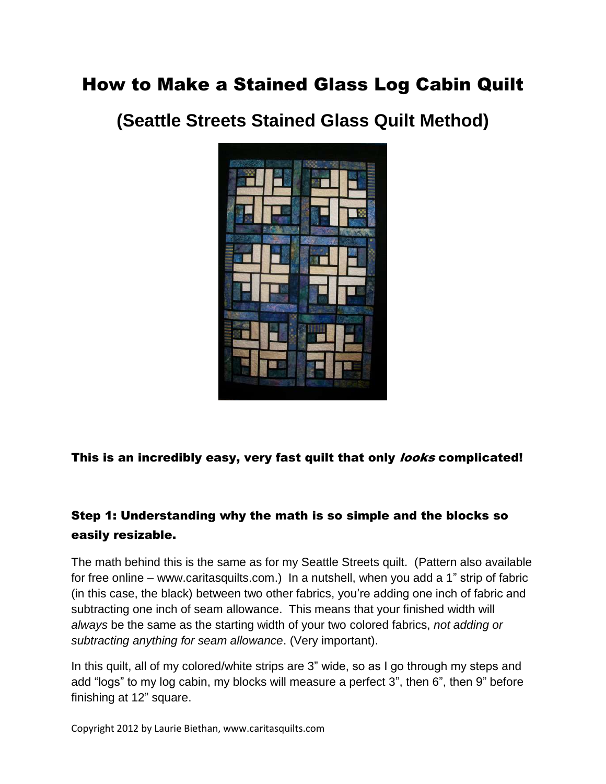# How to Make a Stained Glass Log Cabin Quilt

**(Seattle Streets Stained Glass Quilt Method)**



This is an incredibly easy, very fast quilt that only *looks* complicated!

## Step 1: Understanding why the math is so simple and the blocks so easily resizable.

The math behind this is the same as for my Seattle Streets quilt. (Pattern also available for free online – www.caritasquilts.com.) In a nutshell, when you add a 1" strip of fabric (in this case, the black) between two other fabrics, you're adding one inch of fabric and subtracting one inch of seam allowance. This means that your finished width will *always* be the same as the starting width of your two colored fabrics, *not adding or subtracting anything for seam allowance*. (Very important).

In this quilt, all of my colored/white strips are 3" wide, so as I go through my steps and add "logs" to my log cabin, my blocks will measure a perfect 3", then 6", then 9" before finishing at 12" square.

Copyright 2012 by Laurie Biethan, www.caritasquilts.com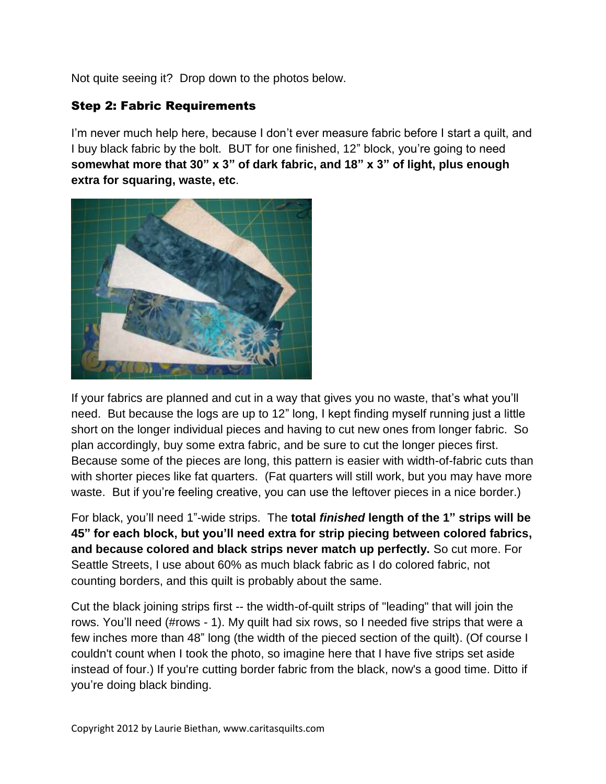Not quite seeing it? Drop down to the photos below.

### Step 2: Fabric Requirements

I'm never much help here, because I don't ever measure fabric before I start a quilt, and I buy black fabric by the bolt. BUT for one finished, 12" block, you're going to need **somewhat more that 30" x 3" of dark fabric, and 18" x 3" of light, plus enough extra for squaring, waste, etc**.



If your fabrics are planned and cut in a way that gives you no waste, that's what you'll need. But because the logs are up to 12" long, I kept finding myself running just a little short on the longer individual pieces and having to cut new ones from longer fabric. So plan accordingly, buy some extra fabric, and be sure to cut the longer pieces first. Because some of the pieces are long, this pattern is easier with width-of-fabric cuts than with shorter pieces like fat quarters. (Fat quarters will still work, but you may have more waste. But if you're feeling creative, you can use the leftover pieces in a nice border.)

For black, you'll need 1"-wide strips. The **total** *finished* **length of the 1" strips will be 45" for each block, but you'll need extra for strip piecing between colored fabrics, and because colored and black strips never match up perfectly.** So cut more. For Seattle Streets, I use about 60% as much black fabric as I do colored fabric, not counting borders, and this quilt is probably about the same.

Cut the black joining strips first -- the width-of-quilt strips of "leading" that will join the rows. You'll need (#rows - 1). My quilt had six rows, so I needed five strips that were a few inches more than 48" long (the width of the pieced section of the quilt). (Of course I couldn't count when I took the photo, so imagine here that I have five strips set aside instead of four.) If you're cutting border fabric from the black, now's a good time. Ditto if you're doing black binding.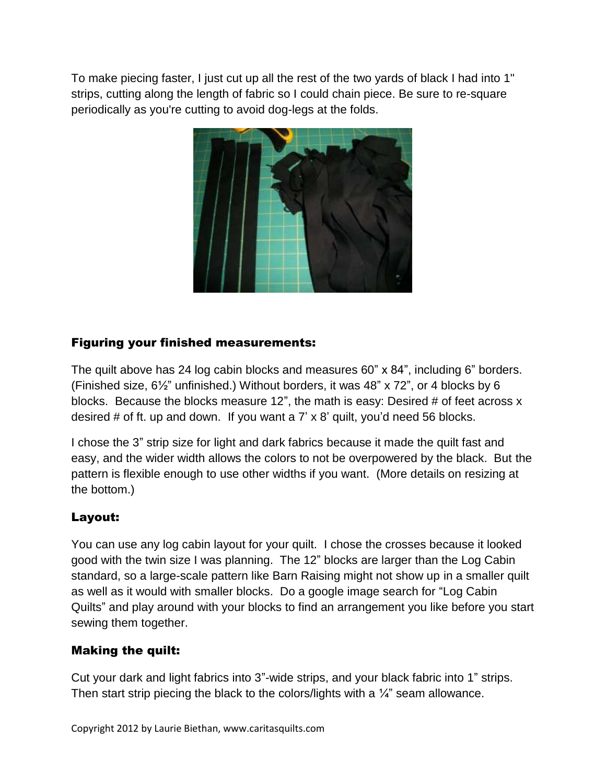To make piecing faster, I just cut up all the rest of the two yards of black I had into 1" strips, cutting along the length of fabric so I could chain piece. Be sure to re-square periodically as you're cutting to avoid dog-legs at the folds.



## Figuring your finished measurements:

The quilt above has 24 log cabin blocks and measures 60" x 84", including 6" borders. (Finished size, 6½" unfinished.) Without borders, it was 48" x 72", or 4 blocks by 6 blocks. Because the blocks measure 12", the math is easy: Desired # of feet across x desired # of ft. up and down. If you want a 7' x 8' quilt, you'd need 56 blocks.

I chose the 3" strip size for light and dark fabrics because it made the quilt fast and easy, and the wider width allows the colors to not be overpowered by the black. But the pattern is flexible enough to use other widths if you want. (More details on resizing at the bottom.)

## Layout:

You can use any log cabin layout for your quilt. I chose the crosses because it looked good with the twin size I was planning. The 12" blocks are larger than the Log Cabin standard, so a large-scale pattern like Barn Raising might not show up in a smaller quilt as well as it would with smaller blocks. Do a google image search for "Log Cabin Quilts" and play around with your blocks to find an arrangement you like before you start sewing them together.

#### Making the quilt:

Cut your dark and light fabrics into 3"-wide strips, and your black fabric into 1" strips. Then start strip piecing the black to the colors/lights with a  $\frac{1}{4}$ " seam allowance.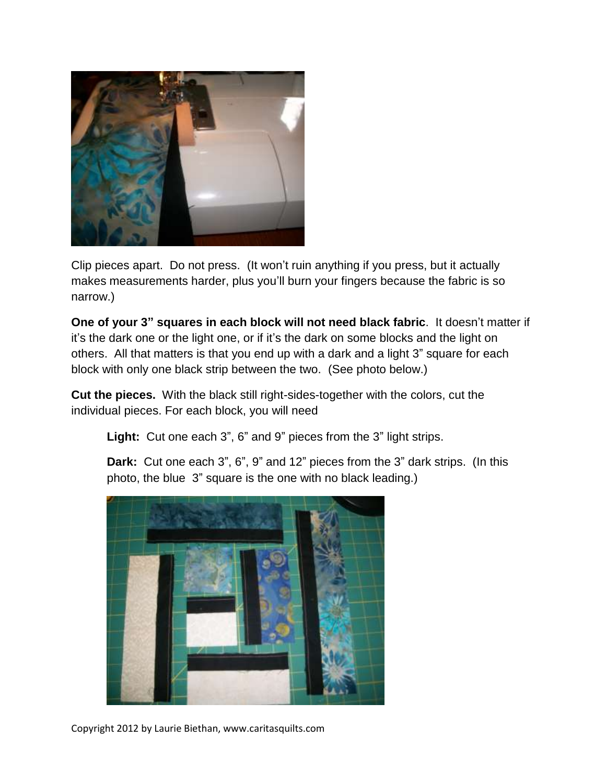

Clip pieces apart. Do not press. (It won't ruin anything if you press, but it actually makes measurements harder, plus you'll burn your fingers because the fabric is so narrow.)

**One of your 3" squares in each block will not need black fabric**. It doesn't matter if it's the dark one or the light one, or if it's the dark on some blocks and the light on others. All that matters is that you end up with a dark and a light 3" square for each block with only one black strip between the two. (See photo below.)

**Cut the pieces.** With the black still right-sides-together with the colors, cut the individual pieces. For each block, you will need

**Light:** Cut one each 3", 6" and 9" pieces from the 3" light strips.

**Dark:** Cut one each 3", 6", 9" and 12" pieces from the 3" dark strips. (In this photo, the blue 3" square is the one with no black leading.)



Copyright 2012 by Laurie Biethan, www.caritasquilts.com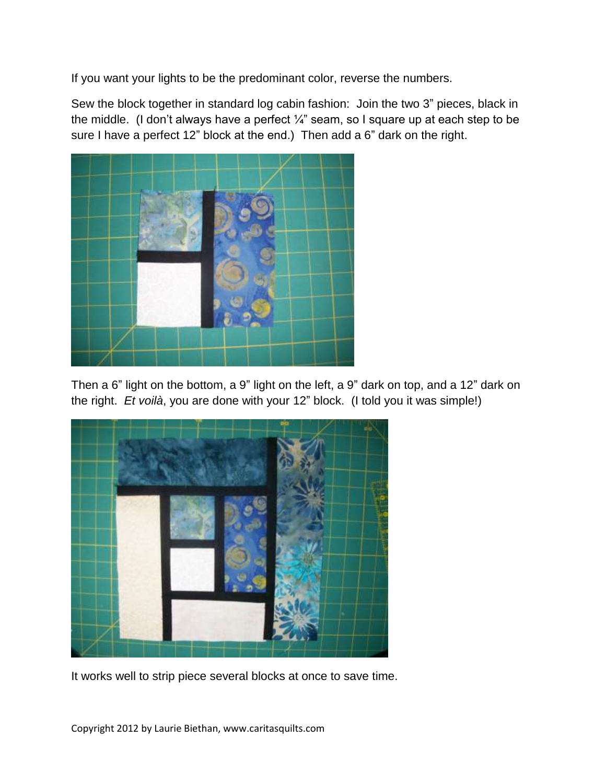If you want your lights to be the predominant color, reverse the numbers.

Sew the block together in standard log cabin fashion: Join the two 3" pieces, black in the middle. (I don't always have a perfect  $\frac{1}{4}$ " seam, so I square up at each step to be sure I have a perfect 12" block at the end.) Then add a 6" dark on the right.



Then a 6" light on the bottom, a 9" light on the left, a 9" dark on top, and a 12" dark on the right. *Et voilà*, you are done with your 12" block. (I told you it was simple!)



It works well to strip piece several blocks at once to save time.

Copyright 2012 by Laurie Biethan, www.caritasquilts.com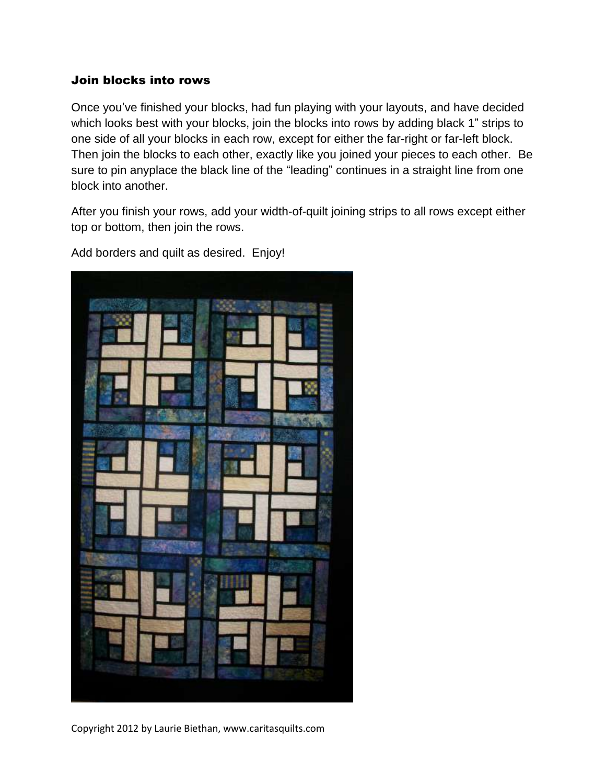#### Join blocks into rows

Once you've finished your blocks, had fun playing with your layouts, and have decided which looks best with your blocks, join the blocks into rows by adding black 1" strips to one side of all your blocks in each row, except for either the far-right or far-left block. Then join the blocks to each other, exactly like you joined your pieces to each other. Be sure to pin anyplace the black line of the "leading" continues in a straight line from one block into another.

After you finish your rows, add your width-of-quilt joining strips to all rows except either top or bottom, then join the rows.



Add borders and quilt as desired. Enjoy!

Copyright 2012 by Laurie Biethan, www.caritasquilts.com